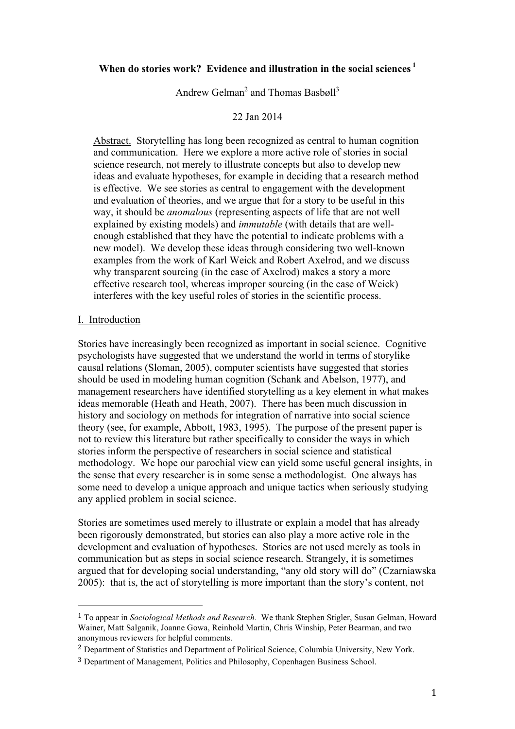## **When do stories work? Evidence and illustration in the social sciences <sup>1</sup>**

Andrew Gelman<sup>2</sup> and Thomas Bashøll<sup>3</sup>

#### 22 Jan 2014

Abstract. Storytelling has long been recognized as central to human cognition and communication. Here we explore a more active role of stories in social science research, not merely to illustrate concepts but also to develop new ideas and evaluate hypotheses, for example in deciding that a research method is effective. We see stories as central to engagement with the development and evaluation of theories, and we argue that for a story to be useful in this way, it should be *anomalous* (representing aspects of life that are not well explained by existing models) and *immutable* (with details that are wellenough established that they have the potential to indicate problems with a new model). We develop these ideas through considering two well-known examples from the work of Karl Weick and Robert Axelrod, and we discuss why transparent sourcing (in the case of Axelrod) makes a story a more effective research tool, whereas improper sourcing (in the case of Weick) interferes with the key useful roles of stories in the scientific process.

#### I. Introduction

 

Stories have increasingly been recognized as important in social science. Cognitive psychologists have suggested that we understand the world in terms of storylike causal relations (Sloman, 2005), computer scientists have suggested that stories should be used in modeling human cognition (Schank and Abelson, 1977), and management researchers have identified storytelling as a key element in what makes ideas memorable (Heath and Heath, 2007). There has been much discussion in history and sociology on methods for integration of narrative into social science theory (see, for example, Abbott, 1983, 1995). The purpose of the present paper is not to review this literature but rather specifically to consider the ways in which stories inform the perspective of researchers in social science and statistical methodology. We hope our parochial view can yield some useful general insights, in the sense that every researcher is in some sense a methodologist. One always has some need to develop a unique approach and unique tactics when seriously studying any applied problem in social science.

Stories are sometimes used merely to illustrate or explain a model that has already been rigorously demonstrated, but stories can also play a more active role in the development and evaluation of hypotheses. Stories are not used merely as tools in communication but as steps in social science research. Strangely, it is sometimes argued that for developing social understanding, "any old story will do" (Czarniawska 2005): that is, the act of storytelling is more important than the story's content, not

<sup>1</sup> To appear in *Sociological Methods and Research.* We thank Stephen Stigler, Susan Gelman, Howard Wainer, Matt Salganik, Joanne Gowa, Reinhold Martin, Chris Winship, Peter Bearman, and two anonymous reviewers for helpful comments.

<sup>2</sup> Department of Statistics and Department of Political Science, Columbia University, New York.

<sup>3</sup> Department of Management, Politics and Philosophy, Copenhagen Business School.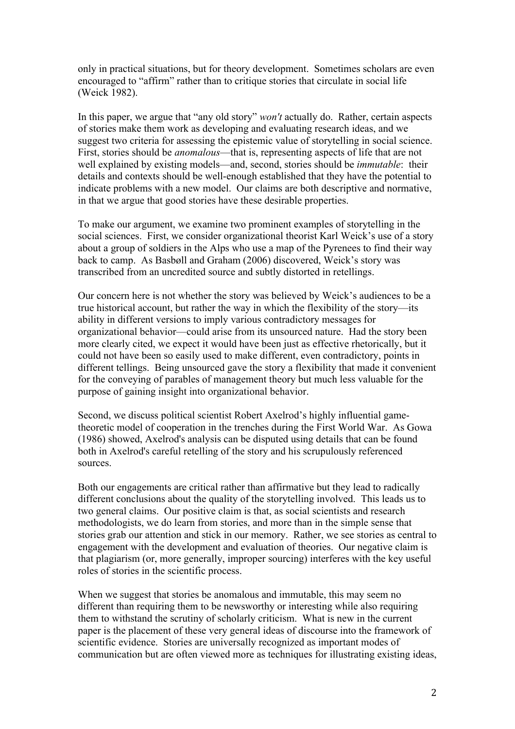only in practical situations, but for theory development. Sometimes scholars are even encouraged to "affirm" rather than to critique stories that circulate in social life (Weick 1982).

In this paper, we argue that "any old story" *won't* actually do. Rather, certain aspects of stories make them work as developing and evaluating research ideas, and we suggest two criteria for assessing the epistemic value of storytelling in social science. First, stories should be *anomalous*—that is, representing aspects of life that are not well explained by existing models—and, second, stories should be *immutable*: their details and contexts should be well-enough established that they have the potential to indicate problems with a new model. Our claims are both descriptive and normative, in that we argue that good stories have these desirable properties.

To make our argument, we examine two prominent examples of storytelling in the social sciences. First, we consider organizational theorist Karl Weick's use of a story about a group of soldiers in the Alps who use a map of the Pyrenees to find their way back to camp. As Basbøll and Graham (2006) discovered, Weick's story was transcribed from an uncredited source and subtly distorted in retellings.

Our concern here is not whether the story was believed by Weick's audiences to be a true historical account, but rather the way in which the flexibility of the story—its ability in different versions to imply various contradictory messages for organizational behavior—could arise from its unsourced nature. Had the story been more clearly cited, we expect it would have been just as effective rhetorically, but it could not have been so easily used to make different, even contradictory, points in different tellings. Being unsourced gave the story a flexibility that made it convenient for the conveying of parables of management theory but much less valuable for the purpose of gaining insight into organizational behavior.

Second, we discuss political scientist Robert Axelrod's highly influential gametheoretic model of cooperation in the trenches during the First World War. As Gowa (1986) showed, Axelrod's analysis can be disputed using details that can be found both in Axelrod's careful retelling of the story and his scrupulously referenced sources.

Both our engagements are critical rather than affirmative but they lead to radically different conclusions about the quality of the storytelling involved. This leads us to two general claims. Our positive claim is that, as social scientists and research methodologists, we do learn from stories, and more than in the simple sense that stories grab our attention and stick in our memory. Rather, we see stories as central to engagement with the development and evaluation of theories. Our negative claim is that plagiarism (or, more generally, improper sourcing) interferes with the key useful roles of stories in the scientific process.

When we suggest that stories be anomalous and immutable, this may seem no different than requiring them to be newsworthy or interesting while also requiring them to withstand the scrutiny of scholarly criticism. What is new in the current paper is the placement of these very general ideas of discourse into the framework of scientific evidence. Stories are universally recognized as important modes of communication but are often viewed more as techniques for illustrating existing ideas,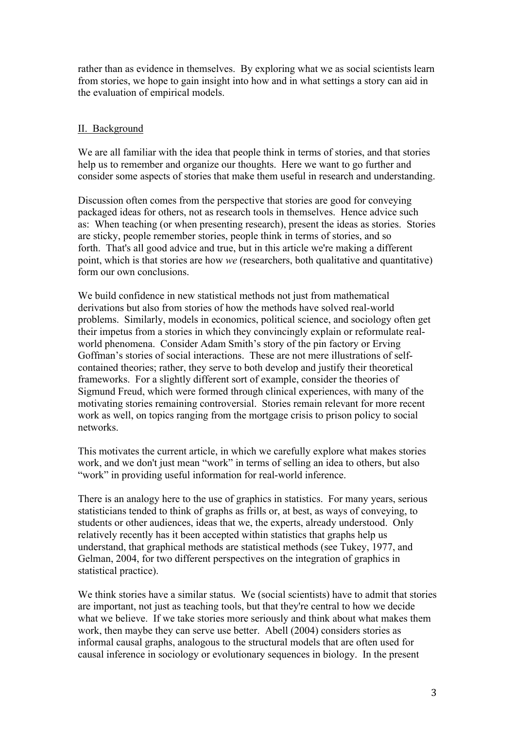rather than as evidence in themselves. By exploring what we as social scientists learn from stories, we hope to gain insight into how and in what settings a story can aid in the evaluation of empirical models.

#### II. Background

We are all familiar with the idea that people think in terms of stories, and that stories help us to remember and organize our thoughts. Here we want to go further and consider some aspects of stories that make them useful in research and understanding.

Discussion often comes from the perspective that stories are good for conveying packaged ideas for others, not as research tools in themselves. Hence advice such as: When teaching (or when presenting research), present the ideas as stories. Stories are sticky, people remember stories, people think in terms of stories, and so forth. That's all good advice and true, but in this article we're making a different point, which is that stories are how *we* (researchers, both qualitative and quantitative) form our own conclusions.

We build confidence in new statistical methods not just from mathematical derivations but also from stories of how the methods have solved real-world problems. Similarly, models in economics, political science, and sociology often get their impetus from a stories in which they convincingly explain or reformulate realworld phenomena. Consider Adam Smith's story of the pin factory or Erving Goffman's stories of social interactions. These are not mere illustrations of selfcontained theories; rather, they serve to both develop and justify their theoretical frameworks. For a slightly different sort of example, consider the theories of Sigmund Freud, which were formed through clinical experiences, with many of the motivating stories remaining controversial. Stories remain relevant for more recent work as well, on topics ranging from the mortgage crisis to prison policy to social networks.

This motivates the current article, in which we carefully explore what makes stories work, and we don't just mean "work" in terms of selling an idea to others, but also "work" in providing useful information for real-world inference.

There is an analogy here to the use of graphics in statistics. For many years, serious statisticians tended to think of graphs as frills or, at best, as ways of conveying, to students or other audiences, ideas that we, the experts, already understood. Only relatively recently has it been accepted within statistics that graphs help us understand, that graphical methods are statistical methods (see Tukey, 1977, and Gelman, 2004, for two different perspectives on the integration of graphics in statistical practice).

We think stories have a similar status. We (social scientists) have to admit that stories are important, not just as teaching tools, but that they're central to how we decide what we believe. If we take stories more seriously and think about what makes them work, then maybe they can serve use better. Abell (2004) considers stories as informal causal graphs, analogous to the structural models that are often used for causal inference in sociology or evolutionary sequences in biology. In the present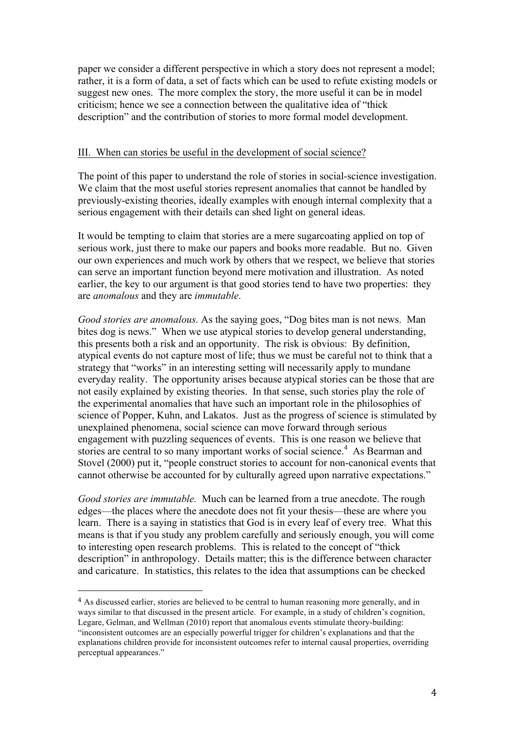paper we consider a different perspective in which a story does not represent a model; rather, it is a form of data, a set of facts which can be used to refute existing models or suggest new ones. The more complex the story, the more useful it can be in model criticism; hence we see a connection between the qualitative idea of "thick description" and the contribution of stories to more formal model development.

## III. When can stories be useful in the development of social science?

The point of this paper to understand the role of stories in social-science investigation. We claim that the most useful stories represent anomalies that cannot be handled by previously-existing theories, ideally examples with enough internal complexity that a serious engagement with their details can shed light on general ideas.

It would be tempting to claim that stories are a mere sugarcoating applied on top of serious work, just there to make our papers and books more readable. But no. Given our own experiences and much work by others that we respect, we believe that stories can serve an important function beyond mere motivation and illustration. As noted earlier, the key to our argument is that good stories tend to have two properties: they are *anomalous* and they are *immutable*.

*Good stories are anomalous.* As the saying goes, "Dog bites man is not news. Man bites dog is news." When we use atypical stories to develop general understanding, this presents both a risk and an opportunity. The risk is obvious: By definition, atypical events do not capture most of life; thus we must be careful not to think that a strategy that "works" in an interesting setting will necessarily apply to mundane everyday reality. The opportunity arises because atypical stories can be those that are not easily explained by existing theories. In that sense, such stories play the role of the experimental anomalies that have such an important role in the philosophies of science of Popper, Kuhn, and Lakatos. Just as the progress of science is stimulated by unexplained phenomena, social science can move forward through serious engagement with puzzling sequences of events. This is one reason we believe that stories are central to so many important works of social science.<sup>4</sup> As Bearman and Stovel (2000) put it, "people construct stories to account for non-canonical events that cannot otherwise be accounted for by culturally agreed upon narrative expectations."

*Good stories are immutable.* Much can be learned from a true anecdote. The rough edges—the places where the anecdote does not fit your thesis—these are where you learn. There is a saying in statistics that God is in every leaf of every tree. What this means is that if you study any problem carefully and seriously enough, you will come to interesting open research problems. This is related to the concept of "thick description" in anthropology. Details matter; this is the difference between character and caricature. In statistics, this relates to the idea that assumptions can be checked

<sup>&</sup>lt;sup>4</sup> As discussed earlier, stories are believed to be central to human reasoning more generally, and in ways similar to that discussed in the present article. For example, in a study of children's cognition, Legare, Gelman, and Wellman (2010) report that anomalous events stimulate theory-building: "inconsistent outcomes are an especially powerful trigger for children's explanations and that the explanations children provide for inconsistent outcomes refer to internal causal properties, overriding perceptual appearances."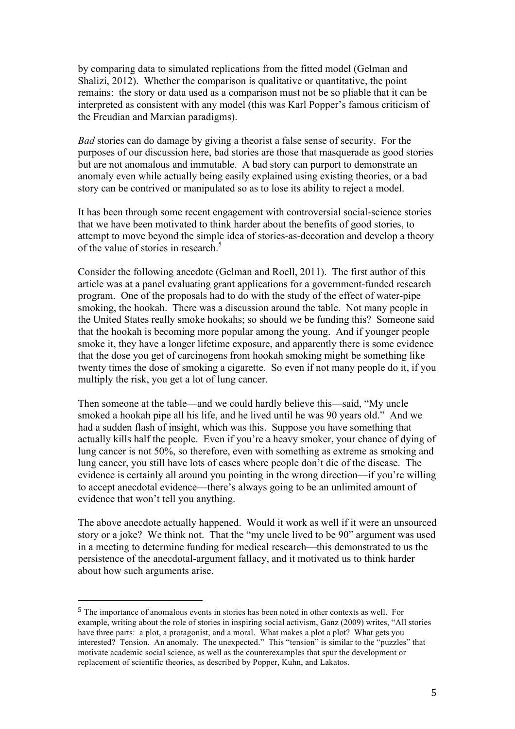by comparing data to simulated replications from the fitted model (Gelman and Shalizi, 2012). Whether the comparison is qualitative or quantitative, the point remains: the story or data used as a comparison must not be so pliable that it can be interpreted as consistent with any model (this was Karl Popper's famous criticism of the Freudian and Marxian paradigms).

*Bad* stories can do damage by giving a theorist a false sense of security. For the purposes of our discussion here, bad stories are those that masquerade as good stories but are not anomalous and immutable. A bad story can purport to demonstrate an anomaly even while actually being easily explained using existing theories, or a bad story can be contrived or manipulated so as to lose its ability to reject a model.

It has been through some recent engagement with controversial social-science stories that we have been motivated to think harder about the benefits of good stories, to attempt to move beyond the simple idea of stories-as-decoration and develop a theory of the value of stories in research. 5

Consider the following anecdote (Gelman and Roell, 2011). The first author of this article was at a panel evaluating grant applications for a government-funded research program. One of the proposals had to do with the study of the effect of water-pipe smoking, the hookah. There was a discussion around the table. Not many people in the United States really smoke hookahs; so should we be funding this? Someone said that the hookah is becoming more popular among the young. And if younger people smoke it, they have a longer lifetime exposure, and apparently there is some evidence that the dose you get of carcinogens from hookah smoking might be something like twenty times the dose of smoking a cigarette. So even if not many people do it, if you multiply the risk, you get a lot of lung cancer.

Then someone at the table—and we could hardly believe this—said, "My uncle smoked a hookah pipe all his life, and he lived until he was 90 years old." And we had a sudden flash of insight, which was this. Suppose you have something that actually kills half the people. Even if you're a heavy smoker, your chance of dying of lung cancer is not 50%, so therefore, even with something as extreme as smoking and lung cancer, you still have lots of cases where people don't die of the disease. The evidence is certainly all around you pointing in the wrong direction—if you're willing to accept anecdotal evidence—there's always going to be an unlimited amount of evidence that won't tell you anything.

The above anecdote actually happened. Would it work as well if it were an unsourced story or a joke? We think not. That the "my uncle lived to be 90" argument was used in a meeting to determine funding for medical research—this demonstrated to us the persistence of the anecdotal-argument fallacy, and it motivated us to think harder about how such arguments arise.

<sup>5</sup> The importance of anomalous events in stories has been noted in other contexts as well. For example, writing about the role of stories in inspiring social activism, Ganz (2009) writes, "All stories have three parts: a plot, a protagonist, and a moral. What makes a plot a plot? What gets you interested? Tension. An anomaly. The unexpected." This "tension" is similar to the "puzzles" that motivate academic social science, as well as the counterexamples that spur the development or replacement of scientific theories, as described by Popper, Kuhn, and Lakatos.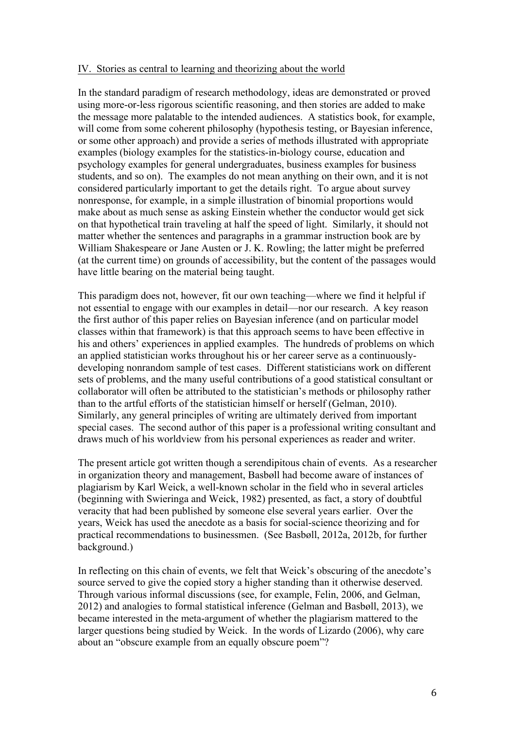# IV. Stories as central to learning and theorizing about the world

In the standard paradigm of research methodology, ideas are demonstrated or proved using more-or-less rigorous scientific reasoning, and then stories are added to make the message more palatable to the intended audiences. A statistics book, for example, will come from some coherent philosophy (hypothesis testing, or Bayesian inference, or some other approach) and provide a series of methods illustrated with appropriate examples (biology examples for the statistics-in-biology course, education and psychology examples for general undergraduates, business examples for business students, and so on). The examples do not mean anything on their own, and it is not considered particularly important to get the details right. To argue about survey nonresponse, for example, in a simple illustration of binomial proportions would make about as much sense as asking Einstein whether the conductor would get sick on that hypothetical train traveling at half the speed of light. Similarly, it should not matter whether the sentences and paragraphs in a grammar instruction book are by William Shakespeare or Jane Austen or J. K. Rowling; the latter might be preferred (at the current time) on grounds of accessibility, but the content of the passages would have little bearing on the material being taught.

This paradigm does not, however, fit our own teaching—where we find it helpful if not essential to engage with our examples in detail—nor our research. A key reason the first author of this paper relies on Bayesian inference (and on particular model classes within that framework) is that this approach seems to have been effective in his and others' experiences in applied examples. The hundreds of problems on which an applied statistician works throughout his or her career serve as a continuouslydeveloping nonrandom sample of test cases. Different statisticians work on different sets of problems, and the many useful contributions of a good statistical consultant or collaborator will often be attributed to the statistician's methods or philosophy rather than to the artful efforts of the statistician himself or herself (Gelman, 2010). Similarly, any general principles of writing are ultimately derived from important special cases. The second author of this paper is a professional writing consultant and draws much of his worldview from his personal experiences as reader and writer.

The present article got written though a serendipitous chain of events. As a researcher in organization theory and management, Basbøll had become aware of instances of plagiarism by Karl Weick, a well-known scholar in the field who in several articles (beginning with Swieringa and Weick, 1982) presented, as fact, a story of doubtful veracity that had been published by someone else several years earlier. Over the years, Weick has used the anecdote as a basis for social-science theorizing and for practical recommendations to businessmen. (See Basbøll, 2012a, 2012b, for further background.)

In reflecting on this chain of events, we felt that Weick's obscuring of the anecdote's source served to give the copied story a higher standing than it otherwise deserved. Through various informal discussions (see, for example, Felin, 2006, and Gelman, 2012) and analogies to formal statistical inference (Gelman and Basbøll, 2013), we became interested in the meta-argument of whether the plagiarism mattered to the larger questions being studied by Weick. In the words of Lizardo (2006), why care about an "obscure example from an equally obscure poem"?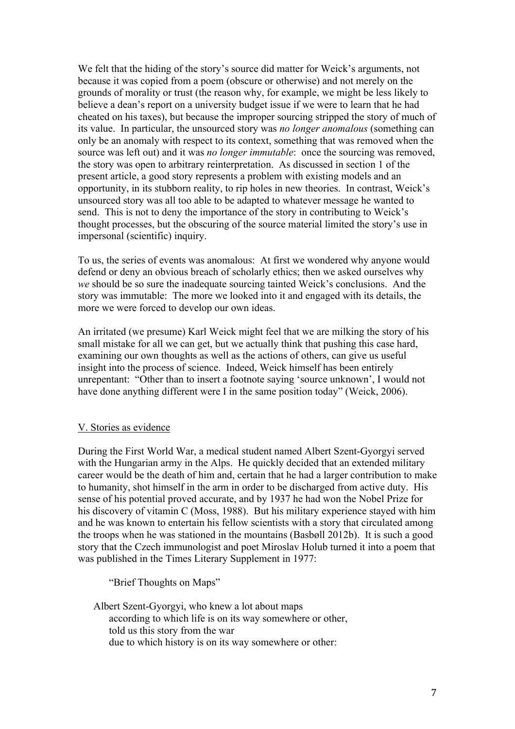We felt that the hiding of the story's source did matter for Weick's arguments, not because it was copied from a poem (obscure or otherwise) and not merely on the grounds of morality or trust (the reason why, for example, we might be less likely to believe a dean's report on a university budget issue if we were to learn that he had cheated on his taxes), but because the improper sourcing stripped the story of much of its value. In particular, the unsourced story was *no longer anomalous* (something can only be an anomaly with respect to its context, something that was removed when the source was left out) and it was *no longer immutable*: once the sourcing was removed, the story was open to arbitrary reinterpretation. As discussed in section 1 of the present article, a good story represents a problem with existing models and an opportunity, in its stubborn reality, to rip holes in new theories. In contrast, Weick's unsourced story was all too able to be adapted to whatever message he wanted to send. This is not to deny the importance of the story in contributing to Weick's thought processes, but the obscuring of the source material limited the story's use in impersonal (scientific) inquiry.

To us, the series of events was anomalous: At first we wondered why anyone would defend or deny an obvious breach of scholarly ethics; then we asked ourselves why *we* should be so sure the inadequate sourcing tainted Weick's conclusions. And the story was immutable: The more we looked into it and engaged with its details, the more we were forced to develop our own ideas.

An irritated (we presume) Karl Weick might feel that we are milking the story of his small mistake for all we can get, but we actually think that pushing this case hard, examining our own thoughts as well as the actions of others, can give us useful insight into the process of science. Indeed, Weick himself has been entirely unrepentant: "Other than to insert a footnote saying 'source unknown', I would not have done anything different were I in the same position today" (Weick, 2006).

## V. Stories as evidence

During the First World War, a medical student named Albert Szent-Gyorgyi served with the Hungarian army in the Alps. He quickly decided that an extended military career would be the death of him and, certain that he had a larger contribution to make to humanity, shot himself in the arm in order to be discharged from active duty. His sense of his potential proved accurate, and by 1937 he had won the Nobel Prize for his discovery of vitamin C (Moss, 1988). But his military experience stayed with him and he was known to entertain his fellow scientists with a story that circulated among the troops when he was stationed in the mountains (Basbøll 2012b). It is such a good story that the Czech immunologist and poet Miroslav Holub turned it into a poem that was published in the Times Literary Supplement in 1977:

"Brief Thoughts on Maps"

Albert Szent-Gyorgyi, who knew a lot about maps according to which life is on its way somewhere or other, told us this story from the war due to which history is on its way somewhere or other: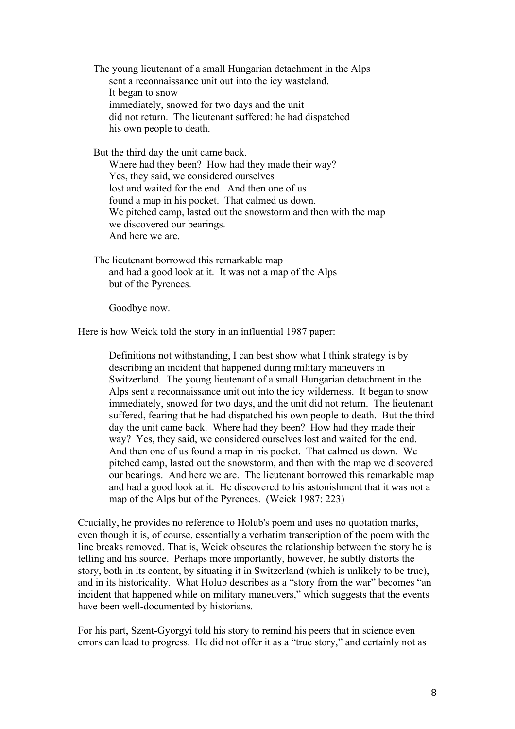The young lieutenant of a small Hungarian detachment in the Alps sent a reconnaissance unit out into the icy wasteland. It began to snow immediately, snowed for two days and the unit did not return. The lieutenant suffered: he had dispatched his own people to death.

But the third day the unit came back. Where had they been? How had they made their way? Yes, they said, we considered ourselves lost and waited for the end. And then one of us found a map in his pocket. That calmed us down. We pitched camp, lasted out the snowstorm and then with the map we discovered our bearings. And here we are.

The lieutenant borrowed this remarkable map and had a good look at it. It was not a map of the Alps but of the Pyrenees.

Goodbye now.

Here is how Weick told the story in an influential 1987 paper:

Definitions not withstanding, I can best show what I think strategy is by describing an incident that happened during military maneuvers in Switzerland. The young lieutenant of a small Hungarian detachment in the Alps sent a reconnaissance unit out into the icy wilderness. It began to snow immediately, snowed for two days, and the unit did not return. The lieutenant suffered, fearing that he had dispatched his own people to death. But the third day the unit came back. Where had they been? How had they made their way? Yes, they said, we considered ourselves lost and waited for the end. And then one of us found a map in his pocket. That calmed us down. We pitched camp, lasted out the snowstorm, and then with the map we discovered our bearings. And here we are. The lieutenant borrowed this remarkable map and had a good look at it. He discovered to his astonishment that it was not a map of the Alps but of the Pyrenees. (Weick 1987: 223)

Crucially, he provides no reference to Holub's poem and uses no quotation marks, even though it is, of course, essentially a verbatim transcription of the poem with the line breaks removed. That is, Weick obscures the relationship between the story he is telling and his source. Perhaps more importantly, however, he subtly distorts the story, both in its content, by situating it in Switzerland (which is unlikely to be true), and in its historicality. What Holub describes as a "story from the war" becomes "an incident that happened while on military maneuvers," which suggests that the events have been well-documented by historians.

For his part, Szent-Gyorgyi told his story to remind his peers that in science even errors can lead to progress. He did not offer it as a "true story," and certainly not as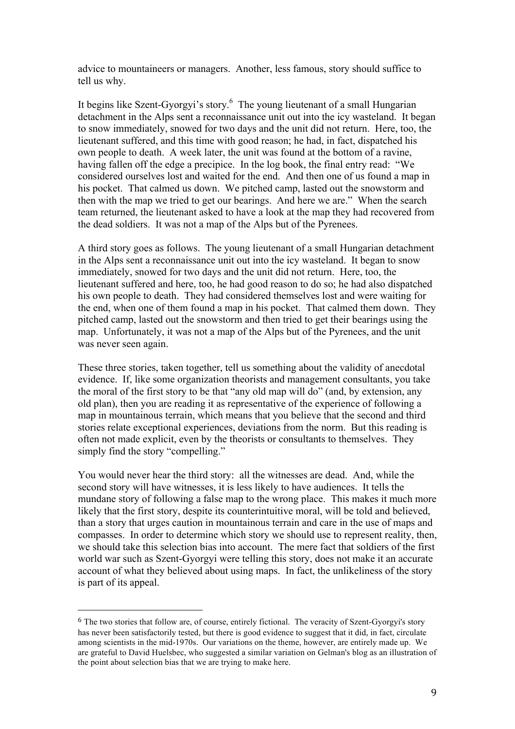advice to mountaineers or managers. Another, less famous, story should suffice to tell us why.

It begins like Szent-Gyorgyi's story.<sup>6</sup> The young lieutenant of a small Hungarian detachment in the Alps sent a reconnaissance unit out into the icy wasteland. It began to snow immediately, snowed for two days and the unit did not return. Here, too, the lieutenant suffered, and this time with good reason; he had, in fact, dispatched his own people to death. A week later, the unit was found at the bottom of a ravine, having fallen off the edge a precipice. In the log book, the final entry read: "We considered ourselves lost and waited for the end. And then one of us found a map in his pocket. That calmed us down. We pitched camp, lasted out the snowstorm and then with the map we tried to get our bearings. And here we are." When the search team returned, the lieutenant asked to have a look at the map they had recovered from the dead soldiers. It was not a map of the Alps but of the Pyrenees.

A third story goes as follows. The young lieutenant of a small Hungarian detachment in the Alps sent a reconnaissance unit out into the icy wasteland. It began to snow immediately, snowed for two days and the unit did not return. Here, too, the lieutenant suffered and here, too, he had good reason to do so; he had also dispatched his own people to death. They had considered themselves lost and were waiting for the end, when one of them found a map in his pocket. That calmed them down. They pitched camp, lasted out the snowstorm and then tried to get their bearings using the map. Unfortunately, it was not a map of the Alps but of the Pyrenees, and the unit was never seen again.

These three stories, taken together, tell us something about the validity of anecdotal evidence. If, like some organization theorists and management consultants, you take the moral of the first story to be that "any old map will do" (and, by extension, any old plan), then you are reading it as representative of the experience of following a map in mountainous terrain, which means that you believe that the second and third stories relate exceptional experiences, deviations from the norm. But this reading is often not made explicit, even by the theorists or consultants to themselves. They simply find the story "compelling."

You would never hear the third story: all the witnesses are dead. And, while the second story will have witnesses, it is less likely to have audiences. It tells the mundane story of following a false map to the wrong place. This makes it much more likely that the first story, despite its counterintuitive moral, will be told and believed, than a story that urges caution in mountainous terrain and care in the use of maps and compasses. In order to determine which story we should use to represent reality, then, we should take this selection bias into account. The mere fact that soldiers of the first world war such as Szent-Gyorgyi were telling this story, does not make it an accurate account of what they believed about using maps. In fact, the unlikeliness of the story is part of its appeal.

<sup>6</sup> The two stories that follow are, of course, entirely fictional. The veracity of Szent-Gyorgyi's story has never been satisfactorily tested, but there is good evidence to suggest that it did, in fact, circulate among scientists in the mid-1970s. Our variations on the theme, however, are entirely made up. We are grateful to David Huelsbec, who suggested a similar variation on Gelman's blog as an illustration of the point about selection bias that we are trying to make here.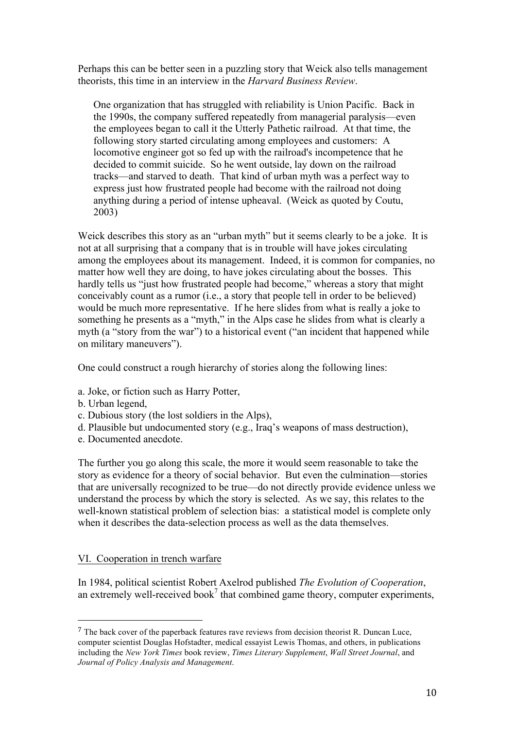Perhaps this can be better seen in a puzzling story that Weick also tells management theorists, this time in an interview in the *Harvard Business Review*.

One organization that has struggled with reliability is Union Pacific. Back in the 1990s, the company suffered repeatedly from managerial paralysis—even the employees began to call it the Utterly Pathetic railroad. At that time, the following story started circulating among employees and customers: A locomotive engineer got so fed up with the railroad's incompetence that he decided to commit suicide. So he went outside, lay down on the railroad tracks—and starved to death. That kind of urban myth was a perfect way to express just how frustrated people had become with the railroad not doing anything during a period of intense upheaval. (Weick as quoted by Coutu, 2003)

Weick describes this story as an "urban myth" but it seems clearly to be a joke. It is not at all surprising that a company that is in trouble will have jokes circulating among the employees about its management. Indeed, it is common for companies, no matter how well they are doing, to have jokes circulating about the bosses. This hardly tells us "just how frustrated people had become," whereas a story that might conceivably count as a rumor (i.e., a story that people tell in order to be believed) would be much more representative. If he here slides from what is really a joke to something he presents as a "myth," in the Alps case he slides from what is clearly a myth (a "story from the war") to a historical event ("an incident that happened while on military maneuvers").

One could construct a rough hierarchy of stories along the following lines:

- a. Joke, or fiction such as Harry Potter,
- b. Urban legend,
- c. Dubious story (the lost soldiers in the Alps),
- d. Plausible but undocumented story (e.g., Iraq's weapons of mass destruction),
- e. Documented anecdote.

The further you go along this scale, the more it would seem reasonable to take the story as evidence for a theory of social behavior. But even the culmination—stories that are universally recognized to be true—do not directly provide evidence unless we understand the process by which the story is selected. As we say, this relates to the well-known statistical problem of selection bias: a statistical model is complete only when it describes the data-selection process as well as the data themselves.

## VI. Cooperation in trench warfare

 

In 1984, political scientist Robert Axelrod published *The Evolution of Cooperation*, an extremely well-received book<sup>7</sup> that combined game theory, computer experiments,

 $<sup>7</sup>$  The back cover of the paperback features rave reviews from decision theorist R. Duncan Luce,</sup> computer scientist Douglas Hofstadter, medical essayist Lewis Thomas, and others, in publications including the *New York Times* book review, *Times Literary Supplement*, *Wall Street Journal*, and *Journal of Policy Analysis and Management*.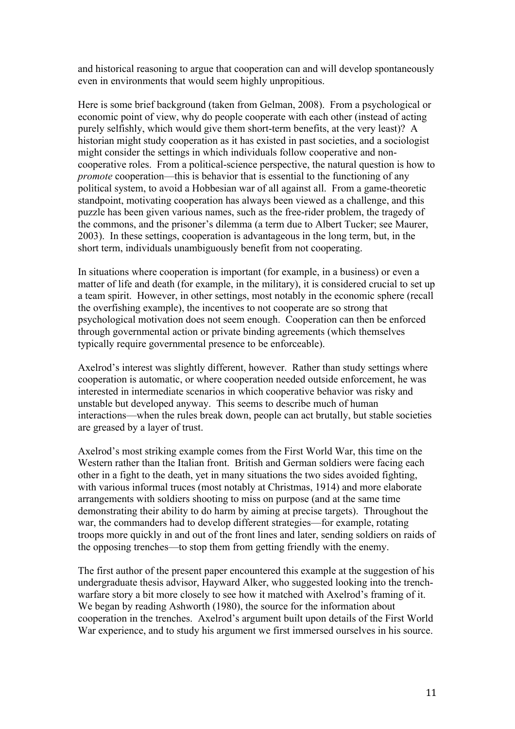and historical reasoning to argue that cooperation can and will develop spontaneously even in environments that would seem highly unpropitious.

Here is some brief background (taken from Gelman, 2008).From a psychological or economic point of view, why do people cooperate with each other (instead of acting purely selfishly, which would give them short-term benefits, at the very least)? A historian might study cooperation as it has existed in past societies, and a sociologist might consider the settings in which individuals follow cooperative and noncooperative roles. From a political-science perspective, the natural question is how to *promote* cooperation—this is behavior that is essential to the functioning of any political system, to avoid a Hobbesian war of all against all. From a game-theoretic standpoint, motivating cooperation has always been viewed as a challenge, and this puzzle has been given various names, such as the free-rider problem, the tragedy of the commons, and the prisoner's dilemma (a term due to Albert Tucker; see Maurer, 2003). In these settings, cooperation is advantageous in the long term, but, in the short term, individuals unambiguously benefit from not cooperating.

In situations where cooperation is important (for example, in a business) or even a matter of life and death (for example, in the military), it is considered crucial to set up a team spirit. However, in other settings, most notably in the economic sphere (recall the overfishing example), the incentives to not cooperate are so strong that psychological motivation does not seem enough. Cooperation can then be enforced through governmental action or private binding agreements (which themselves typically require governmental presence to be enforceable).

Axelrod's interest was slightly different, however. Rather than study settings where cooperation is automatic, or where cooperation needed outside enforcement, he was interested in intermediate scenarios in which cooperative behavior was risky and unstable but developed anyway. This seems to describe much of human interactions—when the rules break down, people can act brutally, but stable societies are greased by a layer of trust.

Axelrod's most striking example comes from the First World War, this time on the Western rather than the Italian front. British and German soldiers were facing each other in a fight to the death, yet in many situations the two sides avoided fighting, with various informal truces (most notably at Christmas, 1914) and more elaborate arrangements with soldiers shooting to miss on purpose (and at the same time demonstrating their ability to do harm by aiming at precise targets). Throughout the war, the commanders had to develop different strategies—for example, rotating troops more quickly in and out of the front lines and later, sending soldiers on raids of the opposing trenches—to stop them from getting friendly with the enemy.

The first author of the present paper encountered this example at the suggestion of his undergraduate thesis advisor, Hayward Alker, who suggested looking into the trenchwarfare story a bit more closely to see how it matched with Axelrod's framing of it. We began by reading Ashworth (1980), the source for the information about cooperation in the trenches. Axelrod's argument built upon details of the First World War experience, and to study his argument we first immersed ourselves in his source.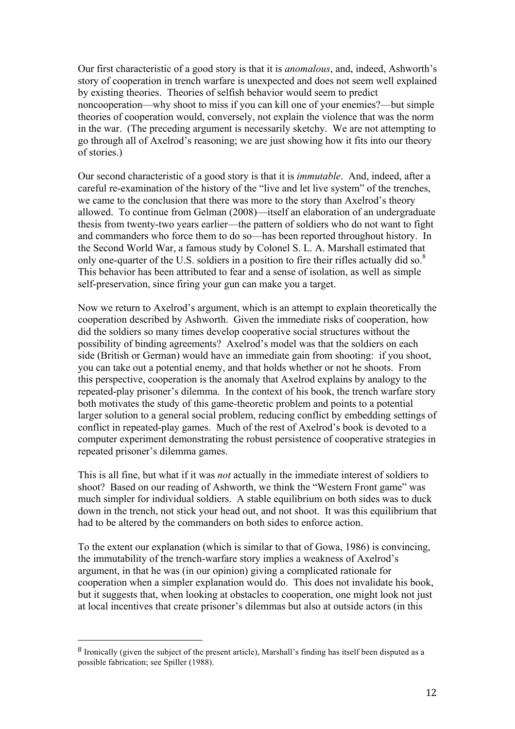Our first characteristic of a good story is that it is *anomalous*, and, indeed, Ashworth's story of cooperation in trench warfare is unexpected and does not seem well explained by existing theories. Theories of selfish behavior would seem to predict noncooperation—why shoot to miss if you can kill one of your enemies?—but simple theories of cooperation would, conversely, not explain the violence that was the norm in the war. (The preceding argument is necessarily sketchy. We are not attempting to go through all of Axelrod's reasoning; we are just showing how it fits into our theory of stories.)

Our second characteristic of a good story is that it is *immutable*. And, indeed, after a careful re-examination of the history of the "live and let live system" of the trenches, we came to the conclusion that there was more to the story than Axelrod's theory allowed. To continue from Gelman (2008)—itself an elaboration of an undergraduate thesis from twenty-two years earlier—the pattern of soldiers who do not want to fight and commanders who force them to do so—has been reported throughout history. In the Second World War, a famous study by Colonel S. L. A. Marshall estimated that only one-quarter of the U.S. soldiers in a position to fire their rifles actually did so. $8$ This behavior has been attributed to fear and a sense of isolation, as well as simple self-preservation, since firing your gun can make you a target.

Now we return to Axelrod's argument, which is an attempt to explain theoretically the cooperation described by Ashworth. Given the immediate risks of cooperation, how did the soldiers so many times develop cooperative social structures without the possibility of binding agreements? Axelrod's model was that the soldiers on each side (British or German) would have an immediate gain from shooting: if you shoot, you can take out a potential enemy, and that holds whether or not he shoots. From this perspective, cooperation is the anomaly that Axelrod explains by analogy to the repeated-play prisoner's dilemma. In the context of his book, the trench warfare story both motivates the study of this game-theoretic problem and points to a potential larger solution to a general social problem, reducing conflict by embedding settings of conflict in repeated-play games. Much of the rest of Axelrod's book is devoted to a computer experiment demonstrating the robust persistence of cooperative strategies in repeated prisoner's dilemma games.

This is all fine, but what if it was *not* actually in the immediate interest of soldiers to shoot? Based on our reading of Ashworth, we think the "Western Front game" was much simpler for individual soldiers. A stable equilibrium on both sides was to duck down in the trench, not stick your head out, and not shoot. It was this equilibrium that had to be altered by the commanders on both sides to enforce action.

To the extent our explanation (which is similar to that of Gowa, 1986) is convincing, the immutability of the trench-warfare story implies a weakness of Axelrod's argument, in that he was (in our opinion) giving a complicated rationale for cooperation when a simpler explanation would do. This does not invalidate his book, but it suggests that, when looking at obstacles to cooperation, one might look not just at local incentives that create prisoner's dilemmas but also at outside actors (in this

<sup>8</sup> Ironically (given the subject of the present article), Marshall's finding has itself been disputed as a possible fabrication; see Spiller (1988).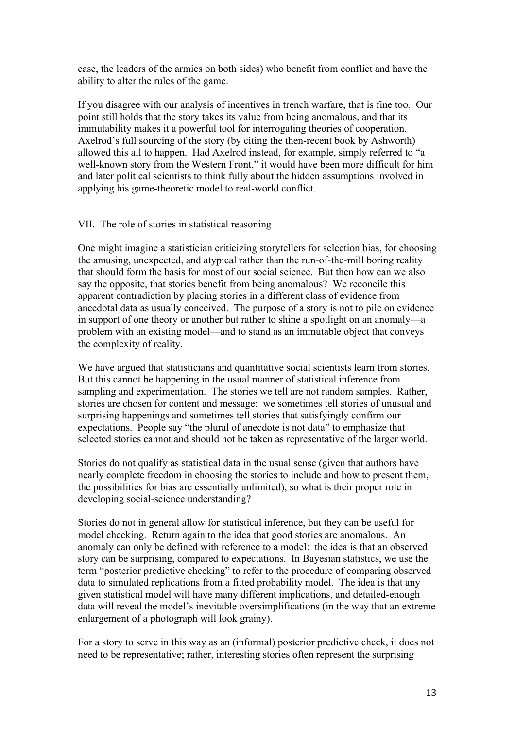case, the leaders of the armies on both sides) who benefit from conflict and have the ability to alter the rules of the game.

If you disagree with our analysis of incentives in trench warfare, that is fine too. Our point still holds that the story takes its value from being anomalous, and that its immutability makes it a powerful tool for interrogating theories of cooperation. Axelrod's full sourcing of the story (by citing the then-recent book by Ashworth) allowed this all to happen. Had Axelrod instead, for example, simply referred to "a well-known story from the Western Front," it would have been more difficult for him and later political scientists to think fully about the hidden assumptions involved in applying his game-theoretic model to real-world conflict.

# VII. The role of stories in statistical reasoning

One might imagine a statistician criticizing storytellers for selection bias, for choosing the amusing, unexpected, and atypical rather than the run-of-the-mill boring reality that should form the basis for most of our social science. But then how can we also say the opposite, that stories benefit from being anomalous? We reconcile this apparent contradiction by placing stories in a different class of evidence from anecdotal data as usually conceived. The purpose of a story is not to pile on evidence in support of one theory or another but rather to shine a spotlight on an anomaly—a problem with an existing model—and to stand as an immutable object that conveys the complexity of reality.

We have argued that statisticians and quantitative social scientists learn from stories. But this cannot be happening in the usual manner of statistical inference from sampling and experimentation. The stories we tell are not random samples. Rather, stories are chosen for content and message: we sometimes tell stories of unusual and surprising happenings and sometimes tell stories that satisfyingly confirm our expectations. People say "the plural of anecdote is not data" to emphasize that selected stories cannot and should not be taken as representative of the larger world.

Stories do not qualify as statistical data in the usual sense (given that authors have nearly complete freedom in choosing the stories to include and how to present them, the possibilities for bias are essentially unlimited), so what is their proper role in developing social-science understanding?

Stories do not in general allow for statistical inference, but they can be useful for model checking. Return again to the idea that good stories are anomalous. An anomaly can only be defined with reference to a model: the idea is that an observed story can be surprising, compared to expectations. In Bayesian statistics, we use the term "posterior predictive checking" to refer to the procedure of comparing observed data to simulated replications from a fitted probability model. The idea is that any given statistical model will have many different implications, and detailed-enough data will reveal the model's inevitable oversimplifications (in the way that an extreme enlargement of a photograph will look grainy).

For a story to serve in this way as an (informal) posterior predictive check, it does not need to be representative; rather, interesting stories often represent the surprising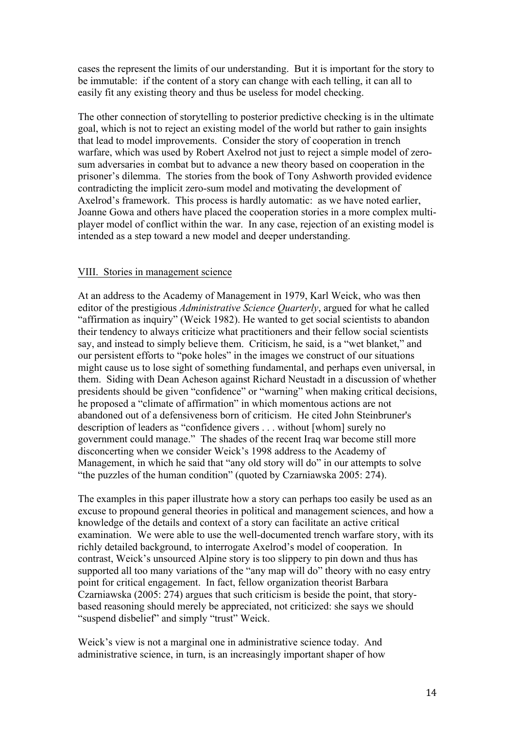cases the represent the limits of our understanding. But it is important for the story to be immutable: if the content of a story can change with each telling, it can all to easily fit any existing theory and thus be useless for model checking.

The other connection of storytelling to posterior predictive checking is in the ultimate goal, which is not to reject an existing model of the world but rather to gain insights that lead to model improvements. Consider the story of cooperation in trench warfare, which was used by Robert Axelrod not just to reject a simple model of zerosum adversaries in combat but to advance a new theory based on cooperation in the prisoner's dilemma. The stories from the book of Tony Ashworth provided evidence contradicting the implicit zero-sum model and motivating the development of Axelrod's framework. This process is hardly automatic: as we have noted earlier, Joanne Gowa and others have placed the cooperation stories in a more complex multiplayer model of conflict within the war. In any case, rejection of an existing model is intended as a step toward a new model and deeper understanding.

#### VIII. Stories in management science

At an address to the Academy of Management in 1979, Karl Weick, who was then editor of the prestigious *Administrative Science Quarterly*, argued for what he called "affirmation as inquiry" (Weick 1982). He wanted to get social scientists to abandon their tendency to always criticize what practitioners and their fellow social scientists say, and instead to simply believe them. Criticism, he said, is a "wet blanket," and our persistent efforts to "poke holes" in the images we construct of our situations might cause us to lose sight of something fundamental, and perhaps even universal, in them. Siding with Dean Acheson against Richard Neustadt in a discussion of whether presidents should be given "confidence" or "warning" when making critical decisions, he proposed a "climate of affirmation" in which momentous actions are not abandoned out of a defensiveness born of criticism. He cited John Steinbruner's description of leaders as "confidence givers . . . without [whom] surely no government could manage." The shades of the recent Iraq war become still more disconcerting when we consider Weick's 1998 address to the Academy of Management, in which he said that "any old story will do" in our attempts to solve "the puzzles of the human condition" (quoted by Czarniawska 2005: 274).

The examples in this paper illustrate how a story can perhaps too easily be used as an excuse to propound general theories in political and management sciences, and how a knowledge of the details and context of a story can facilitate an active critical examination. We were able to use the well-documented trench warfare story, with its richly detailed background, to interrogate Axelrod's model of cooperation. In contrast, Weick's unsourced Alpine story is too slippery to pin down and thus has supported all too many variations of the "any map will do" theory with no easy entry point for critical engagement. In fact, fellow organization theorist Barbara Czarniawska (2005: 274) argues that such criticism is beside the point, that storybased reasoning should merely be appreciated, not criticized: she says we should "suspend disbelief" and simply "trust" Weick.

Weick's view is not a marginal one in administrative science today. And administrative science, in turn, is an increasingly important shaper of how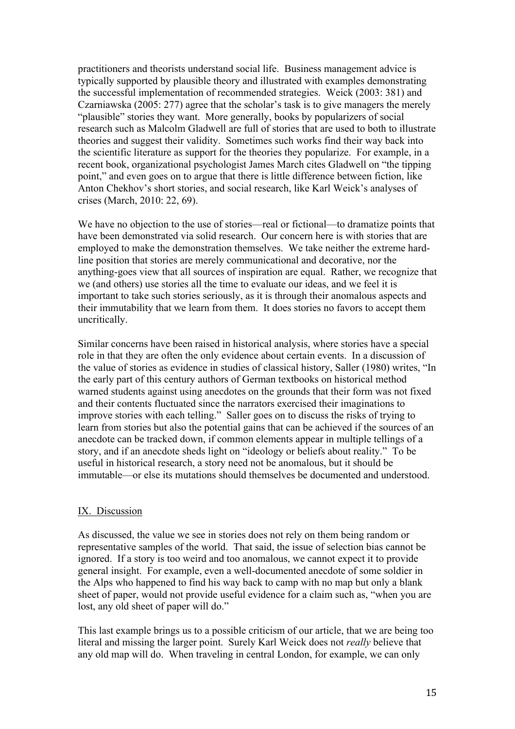practitioners and theorists understand social life. Business management advice is typically supported by plausible theory and illustrated with examples demonstrating the successful implementation of recommended strategies. Weick (2003: 381) and Czarniawska (2005: 277) agree that the scholar's task is to give managers the merely "plausible" stories they want. More generally, books by popularizers of social research such as Malcolm Gladwell are full of stories that are used to both to illustrate theories and suggest their validity. Sometimes such works find their way back into the scientific literature as support for the theories they popularize. For example, in a recent book, organizational psychologist James March cites Gladwell on "the tipping point," and even goes on to argue that there is little difference between fiction, like Anton Chekhov's short stories, and social research, like Karl Weick's analyses of crises (March, 2010: 22, 69).

We have no objection to the use of stories—real or fictional—to dramatize points that have been demonstrated via solid research. Our concern here is with stories that are employed to make the demonstration themselves. We take neither the extreme hardline position that stories are merely communicational and decorative, nor the anything-goes view that all sources of inspiration are equal. Rather, we recognize that we (and others) use stories all the time to evaluate our ideas, and we feel it is important to take such stories seriously, as it is through their anomalous aspects and their immutability that we learn from them. It does stories no favors to accept them uncritically.

Similar concerns have been raised in historical analysis, where stories have a special role in that they are often the only evidence about certain events. In a discussion of the value of stories as evidence in studies of classical history, Saller (1980) writes, "In the early part of this century authors of German textbooks on historical method warned students against using anecdotes on the grounds that their form was not fixed and their contents fluctuated since the narrators exercised their imaginations to improve stories with each telling." Saller goes on to discuss the risks of trying to learn from stories but also the potential gains that can be achieved if the sources of an anecdote can be tracked down, if common elements appear in multiple tellings of a story, and if an anecdote sheds light on "ideology or beliefs about reality." To be useful in historical research, a story need not be anomalous, but it should be immutable—or else its mutations should themselves be documented and understood.

## IX. Discussion

As discussed, the value we see in stories does not rely on them being random or representative samples of the world. That said, the issue of selection bias cannot be ignored. If a story is too weird and too anomalous, we cannot expect it to provide general insight. For example, even a well-documented anecdote of some soldier in the Alps who happened to find his way back to camp with no map but only a blank sheet of paper, would not provide useful evidence for a claim such as, "when you are lost, any old sheet of paper will do."

This last example brings us to a possible criticism of our article, that we are being too literal and missing the larger point. Surely Karl Weick does not *really* believe that any old map will do. When traveling in central London, for example, we can only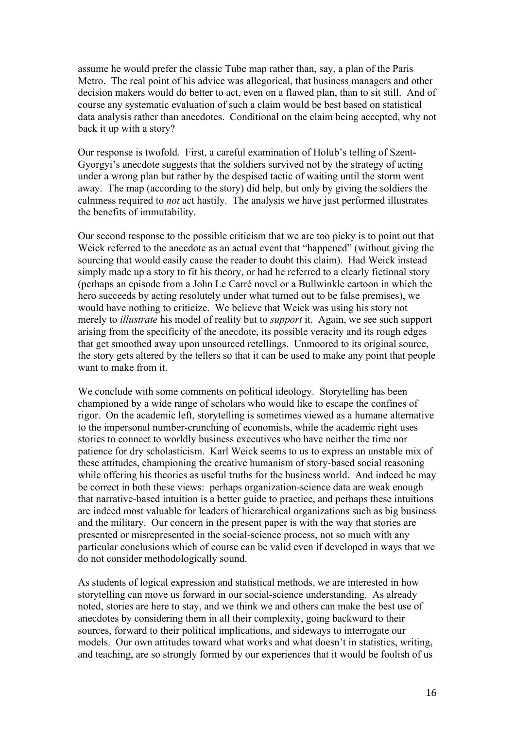assume he would prefer the classic Tube map rather than, say, a plan of the Paris Metro. The real point of his advice was allegorical, that business managers and other decision makers would do better to act, even on a flawed plan, than to sit still. And of course any systematic evaluation of such a claim would be best based on statistical data analysis rather than anecdotes. Conditional on the claim being accepted, why not back it up with a story?

Our response is twofold. First, a careful examination of Holub's telling of Szent-Gyorgyi's anecdote suggests that the soldiers survived not by the strategy of acting under a wrong plan but rather by the despised tactic of waiting until the storm went away. The map (according to the story) did help, but only by giving the soldiers the calmness required to *not* act hastily. The analysis we have just performed illustrates the benefits of immutability.

Our second response to the possible criticism that we are too picky is to point out that Weick referred to the anecdote as an actual event that "happened" (without giving the sourcing that would easily cause the reader to doubt this claim). Had Weick instead simply made up a story to fit his theory, or had he referred to a clearly fictional story (perhaps an episode from a John Le Carré novel or a Bullwinkle cartoon in which the hero succeeds by acting resolutely under what turned out to be false premises), we would have nothing to criticize. We believe that Weick was using his story not merely to *illustrate* his model of reality but to *support* it. Again, we see such support arising from the specificity of the anecdote, its possible veracity and its rough edges that get smoothed away upon unsourced retellings. Unmoored to its original source, the story gets altered by the tellers so that it can be used to make any point that people want to make from it.

We conclude with some comments on political ideology. Storytelling has been championed by a wide range of scholars who would like to escape the confines of rigor. On the academic left, storytelling is sometimes viewed as a humane alternative to the impersonal number-crunching of economists, while the academic right uses stories to connect to worldly business executives who have neither the time nor patience for dry scholasticism. Karl Weick seems to us to express an unstable mix of these attitudes, championing the creative humanism of story-based social reasoning while offering his theories as useful truths for the business world. And indeed he may be correct in both these views: perhaps organization-science data are weak enough that narrative-based intuition is a better guide to practice, and perhaps these intuitions are indeed most valuable for leaders of hierarchical organizations such as big business and the military. Our concern in the present paper is with the way that stories are presented or misrepresented in the social-science process, not so much with any particular conclusions which of course can be valid even if developed in ways that we do not consider methodologically sound.

As students of logical expression and statistical methods, we are interested in how storytelling can move us forward in our social-science understanding. As already noted, stories are here to stay, and we think we and others can make the best use of anecdotes by considering them in all their complexity, going backward to their sources, forward to their political implications, and sideways to interrogate our models. Our own attitudes toward what works and what doesn't in statistics, writing, and teaching, are so strongly formed by our experiences that it would be foolish of us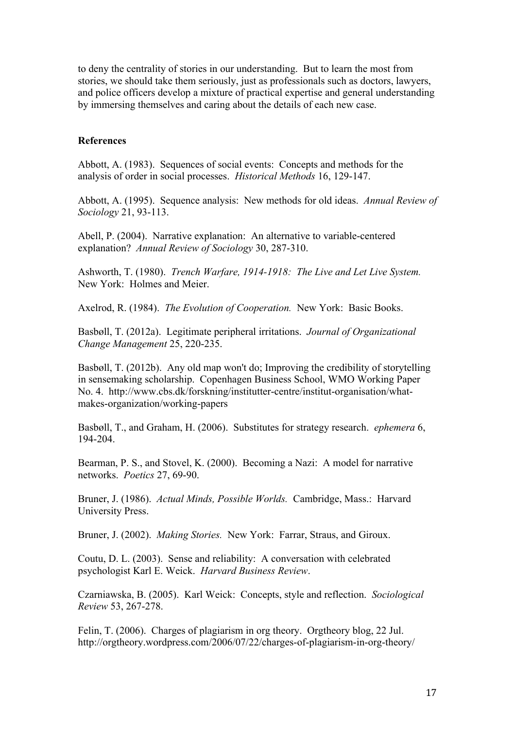to deny the centrality of stories in our understanding. But to learn the most from stories, we should take them seriously, just as professionals such as doctors, lawyers, and police officers develop a mixture of practical expertise and general understanding by immersing themselves and caring about the details of each new case.

#### **References**

Abbott, A. (1983). Sequences of social events: Concepts and methods for the analysis of order in social processes. *Historical Methods* 16, 129-147.

Abbott, A. (1995). Sequence analysis: New methods for old ideas. *Annual Review of Sociology* 21, 93-113.

Abell, P. (2004). Narrative explanation: An alternative to variable-centered explanation? *Annual Review of Sociology* 30, 287-310.

Ashworth, T. (1980). *Trench Warfare, 1914-1918: The Live and Let Live System.* New York: Holmes and Meier.

Axelrod, R. (1984). *The Evolution of Cooperation.* New York: Basic Books.

Basbøll, T. (2012a). Legitimate peripheral irritations. *Journal of Organizational Change Management* 25, 220-235.

Basbøll, T. (2012b). Any old map won't do; Improving the credibility of storytelling in sensemaking scholarship. Copenhagen Business School, WMO Working Paper No. 4. http://www.cbs.dk/forskning/institutter-centre/institut-organisation/whatmakes-organization/working-papers

Basbøll, T., and Graham, H. (2006). Substitutes for strategy research. *ephemera* 6, 194-204.

Bearman, P. S., and Stovel, K. (2000). Becoming a Nazi: A model for narrative networks. *Poetics* 27, 69-90.

Bruner, J. (1986). *Actual Minds, Possible Worlds.* Cambridge, Mass.: Harvard University Press.

Bruner, J. (2002). *Making Stories.* New York: Farrar, Straus, and Giroux.

Coutu, D. L. (2003). Sense and reliability: A conversation with celebrated psychologist Karl E. Weick. *Harvard Business Review*.

Czarniawska, B. (2005). Karl Weick: Concepts, style and reflection. *Sociological Review* 53, 267-278.

Felin, T. (2006). Charges of plagiarism in org theory. Orgtheory blog, 22 Jul. http://orgtheory.wordpress.com/2006/07/22/charges-of-plagiarism-in-org-theory/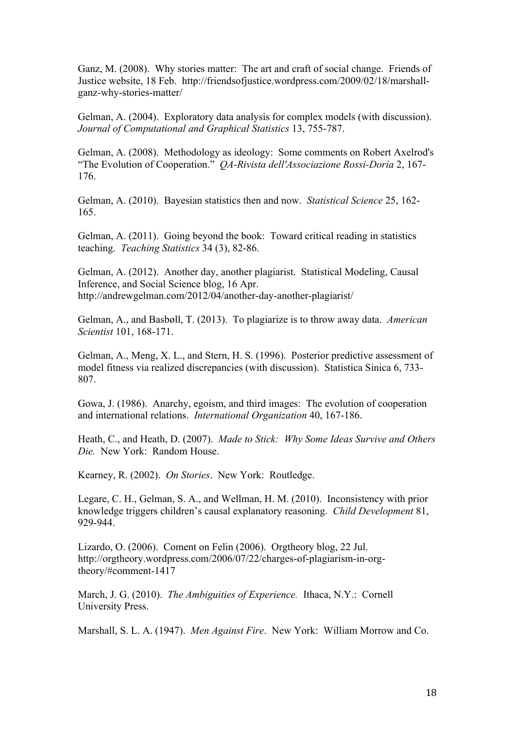Ganz, M. (2008). Why stories matter: The art and craft of social change. Friends of Justice website, 18 Feb. http://friendsofjustice.wordpress.com/2009/02/18/marshallganz-why-stories-matter/

Gelman, A. (2004). Exploratory data analysis for complex models (with discussion). *Journal of Computational and Graphical Statistics* 13, 755-787.

Gelman, A. (2008). Methodology as ideology: Some comments on Robert Axelrod's "The Evolution of Cooperation." *QA-Rivista dell'Associazione Rossi-Doria* 2, 167- 176.

Gelman, A. (2010). Bayesian statistics then and now. *Statistical Science* 25, 162- 165.

Gelman, A. (2011). Going beyond the book: Toward critical reading in statistics teaching. *Teaching Statistics* 34 (3), 82-86.

Gelman, A. (2012). Another day, another plagiarist. Statistical Modeling, Causal Inference, and Social Science blog, 16 Apr. http://andrewgelman.com/2012/04/another-day-another-plagiarist/

Gelman, A., and Basbøll, T. (2013). To plagiarize is to throw away data. *American Scientist* 101, 168-171.

Gelman, A., Meng, X. L., and Stern, H. S. (1996). Posterior predictive assessment of model fitness via realized discrepancies (with discussion). Statistica Sinica 6, 733- 807.

Gowa, J. (1986). Anarchy, egoism, and third images: The evolution of cooperation and international relations. *International Organization* 40, 167-186.

Heath, C., and Heath, D. (2007). *Made to Stick: Why Some Ideas Survive and Others Die.* New York: Random House.

Kearney, R. (2002). *On Stories*. New York: Routledge.

Legare, C. H., Gelman, S. A., and Wellman, H. M. (2010). Inconsistency with prior knowledge triggers children's causal explanatory reasoning. *Child Development* 81, 929-944.

Lizardo, O. (2006). Coment on Felin (2006). Orgtheory blog, 22 Jul. http://orgtheory.wordpress.com/2006/07/22/charges-of-plagiarism-in-orgtheory/#comment-1417

March, J. G. (2010). *The Ambiguities of Experience.* Ithaca, N.Y.: Cornell University Press.

Marshall, S. L. A. (1947). *Men Against Fire*. New York: William Morrow and Co.